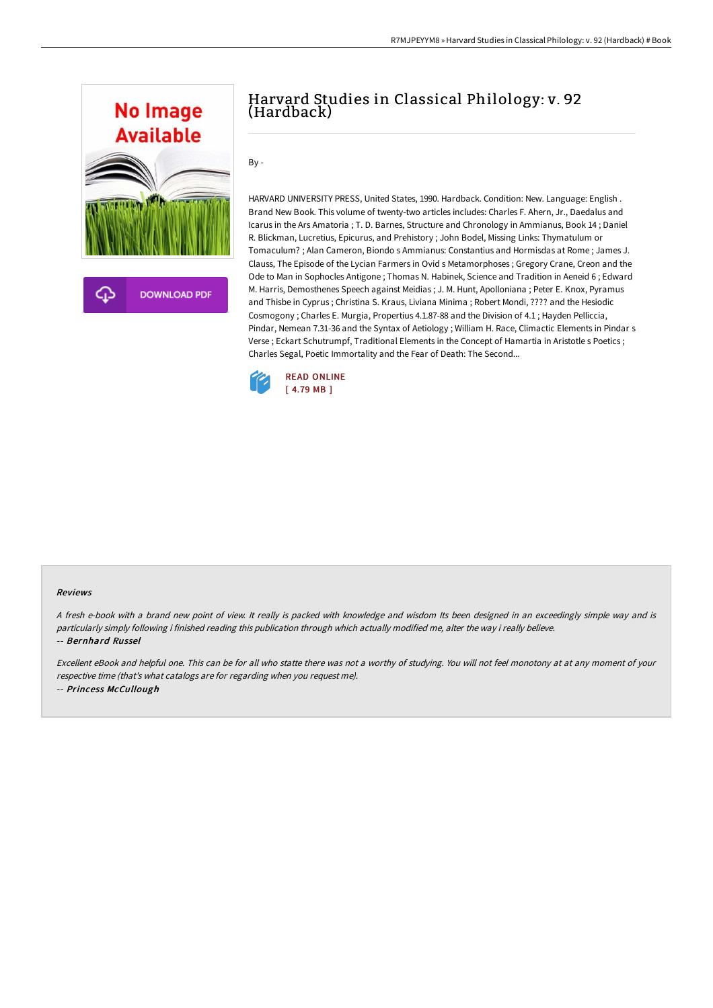

# Harvard Studies in Classical Philology: v. 92 (Hardback)

By -

HARVARD UNIVERSITY PRESS, United States, 1990. Hardback. Condition: New. Language: English . Brand New Book. This volume of twenty-two articles includes: Charles F. Ahern, Jr., Daedalus and Icarus in the Ars Amatoria ; T. D. Barnes, Structure and Chronology in Ammianus, Book 14 ; Daniel R. Blickman, Lucretius, Epicurus, and Prehistory ; John Bodel, Missing Links: Thymatulum or Tomaculum? ; Alan Cameron, Biondo s Ammianus: Constantius and Hormisdas at Rome ; James J. Clauss, The Episode of the Lycian Farmers in Ovid s Metamorphoses ; Gregory Crane, Creon and the Ode to Man in Sophocles Antigone ; Thomas N. Habinek, Science and Tradition in Aeneid 6 ; Edward M. Harris, Demosthenes Speech against Meidias ; J. M. Hunt, Apolloniana ; Peter E. Knox, Pyramus and Thisbe in Cyprus ; Christina S. Kraus, Liviana Minima ; Robert Mondi, ???? and the Hesiodic Cosmogony ; Charles E. Murgia, Propertius 4.1.87-88 and the Division of 4.1 ; Hayden Pelliccia, Pindar, Nemean 7.31-36 and the Syntax of Aetiology ; William H. Race, Climactic Elements in Pindar s Verse ; Eckart Schutrumpf, Traditional Elements in the Concept of Hamartia in Aristotle s Poetics ; Charles Segal, Poetic Immortality and the Fear of Death: The Second...



#### Reviews

<sup>A</sup> fresh e-book with <sup>a</sup> brand new point of view. It really is packed with knowledge and wisdom Its been designed in an exceedingly simple way and is particularly simply following i finished reading this publication through which actually modified me, alter the way i really believe. -- Bernhard Russel

Excellent eBook and helpful one. This can be for all who statte there was not <sup>a</sup> worthy of studying. You will not feel monotony at at any moment of your respective time (that's what catalogs are for regarding when you request me). -- Princess McCullough